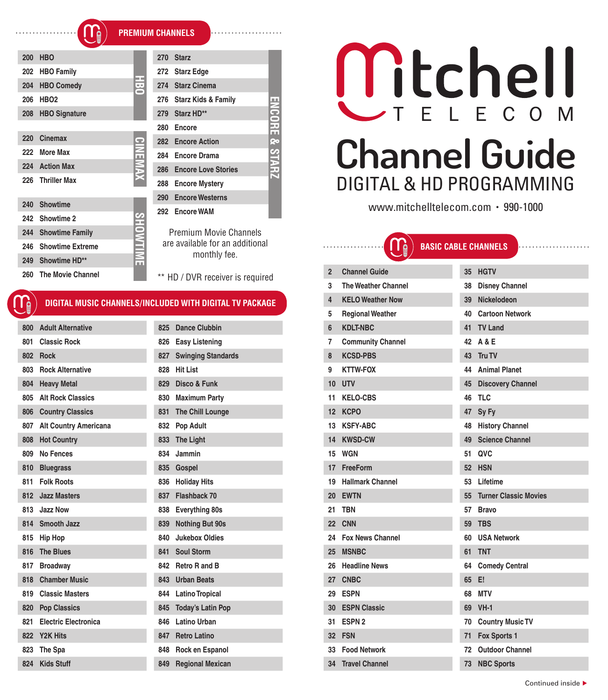ă

| 200 | <b>HBO</b>               |          | 270 | <b>Starz</b>                                            |      |  |  |
|-----|--------------------------|----------|-----|---------------------------------------------------------|------|--|--|
| 202 | <b>HBO Family</b>        | ×.       | 272 | <b>Starz Edge</b>                                       |      |  |  |
| 204 | <b>HBO Comedy</b>        | İ.       | 274 | <b>Starz Cinema</b>                                     |      |  |  |
| 206 | <b>HBO2</b>              |          | 276 | <b>Starz Kids &amp; Family</b>                          |      |  |  |
| 208 | <b>HBO Signature</b>     |          | 279 | Starz HD**                                              | ENSO |  |  |
|     |                          |          | 280 | Encore                                                  |      |  |  |
| 220 | Cinemax                  |          | 282 | <b>Encore Action</b>                                    | œ    |  |  |
| 222 | More Max                 | CINEMAX  | 284 | Encore Drama                                            |      |  |  |
| 224 | <b>Action Max</b>        |          | 286 | <b>Encore Love Stories</b>                              |      |  |  |
| 226 | <b>Thriller Max</b>      |          | 288 | <b>Encore Mystery</b>                                   |      |  |  |
|     |                          |          | 290 | <b>Encore Westerns</b>                                  |      |  |  |
| 240 | <b>Showtime</b>          | 292      |     | <b>Encore WAM</b>                                       |      |  |  |
| 242 | Showtime 2               |          |     |                                                         |      |  |  |
| 244 | <b>Showtime Family</b>   |          |     | <b>Premium Movie Channels</b>                           |      |  |  |
| 246 | <b>Showtime Extreme</b>  | SHOWTIME |     | are available for an additional                         |      |  |  |
|     | 249 Showtime HD**        |          |     | monthly fee.                                            |      |  |  |
| 260 | <b>The Movie Channel</b> |          |     | ** HD / DVR receiver is required                        |      |  |  |
|     |                          |          |     | DIGITAL MUSIC CHANNELS/INCLUDED WITH DIGITAL TV PACKAGE |      |  |  |

| 800 | <b>Adult Alternative</b>     | 825 | <b>Dance Clubbin</b>      |
|-----|------------------------------|-----|---------------------------|
| 801 | <b>Classic Rock</b>          | 826 | <b>Easy Listening</b>     |
| 802 | <b>Rock</b>                  | 827 | <b>Swinging Standards</b> |
| 803 | <b>Rock Alternative</b>      | 828 | <b>Hit List</b>           |
| 804 | <b>Heavy Metal</b>           | 829 | Disco & Funk              |
| 805 | <b>Alt Rock Classics</b>     | 830 | <b>Maximum Party</b>      |
| 806 | <b>Country Classics</b>      | 831 | <b>The Chill Lounge</b>   |
| 807 | <b>Alt Country Americana</b> | 832 | <b>Pop Adult</b>          |
| 808 | <b>Hot Country</b>           | 833 | <b>The Light</b>          |
| 809 | No Fences                    | 834 | Jammin                    |
| 810 | <b>Bluegrass</b>             | 835 | Gospel                    |
| 811 | <b>Folk Roots</b>            | 836 | <b>Holiday Hits</b>       |
| 812 | <b>Jazz Masters</b>          | 837 | Flashback 70              |
| 813 | Jazz Now                     | 838 | Everything 80s            |
| 814 | Smooth Jazz                  | 839 | <b>Nothing But 90s</b>    |
| 815 | Hip Hop                      | 840 | <b>Jukebox Oldies</b>     |
| 816 | <b>The Blues</b>             | 841 | <b>Soul Storm</b>         |
| 817 | <b>Broadway</b>              | 842 | Retro R and B             |
| 818 | <b>Chamber Music</b>         | 843 | <b>Urban Beats</b>        |
| 819 | <b>Classic Masters</b>       | 844 | <b>Latino Tropical</b>    |
| 820 | <b>Pop Classics</b>          | 845 | <b>Today's Latin Pop</b>  |
| 821 | <b>Electric Electronica</b>  | 846 | Latino Urban              |
| 822 | Y2K Hits                     | 847 | <b>Retro Latino</b>       |
| 823 | The Spa                      | 848 | Rock en Espanol           |
| 824 | <b>Kids Stuff</b>            | 849 | <b>Regional Mexican</b>   |

# Mtchell T E L E C O M **Channel Guide** DIGITAL & HD PROGRAMMING

www.mitchelltelecom.com • 990-1000

**BASIC CABLE CHANNELS**

|     | monthly fee.                         |                | ∵⇒                         |    |                              |
|-----|--------------------------------------|----------------|----------------------------|----|------------------------------|
|     | ** HD / DVR receiver is required     | $\overline{2}$ | <b>Channel Guide</b>       | 35 | <b>HGTV</b>                  |
|     |                                      | 3              | <b>The Weather Channel</b> | 38 | <b>Disney Channel</b>        |
|     | <b>LUDED WITH DIGITAL TV PACKAGE</b> | 4              | <b>KELO Weather Now</b>    | 39 | Nickelodeon                  |
|     |                                      | 5              | <b>Regional Weather</b>    | 40 | <b>Cartoon Network</b>       |
| 825 | <b>Dance Clubbin</b>                 | 6              | <b>KDLT-NBC</b>            | 41 | <b>TV Land</b>               |
| 826 | <b>Easy Listening</b>                | 7              | <b>Community Channel</b>   | 42 | A & E                        |
| 827 | <b>Swinging Standards</b>            | 8              | <b>KCSD-PBS</b>            | 43 | Tru TV                       |
| 828 | <b>Hit List</b>                      | 9              | <b>KTTW-FOX</b>            | 44 | <b>Animal Planet</b>         |
| 829 | Disco & Funk                         | 10             | <b>UTV</b>                 | 45 | <b>Discovery Channel</b>     |
| 830 | <b>Maximum Party</b>                 | 11             | <b>KELO-CBS</b>            | 46 | <b>TLC</b>                   |
| 831 | The Chill Lounge                     | 12             | <b>KCPO</b>                | 47 | Sy Fy                        |
| 832 | Pop Adult                            | 13             | <b>KSFY-ABC</b>            | 48 | <b>History Channel</b>       |
| 833 | <b>The Light</b>                     | 14             | <b>KWSD-CW</b>             | 49 | <b>Science Channel</b>       |
| 834 | Jammin                               | 15             | <b>WGN</b>                 | 51 | QVC                          |
| 835 | Gospel                               | 17             | FreeForm                   | 52 | <b>HSN</b>                   |
| 836 | <b>Holiday Hits</b>                  | 19             | <b>Hallmark Channel</b>    | 53 | Lifetime                     |
| 837 | Flashback 70                         | 20             | <b>EWTN</b>                | 55 | <b>Turner Classic Movies</b> |
| 838 | <b>Everything 80s</b>                | 21             | <b>TBN</b>                 | 57 | <b>Bravo</b>                 |
| 839 | <b>Nothing But 90s</b>               | 22             | <b>CNN</b>                 | 59 | <b>TBS</b>                   |
| 840 | <b>Jukebox Oldies</b>                | 24             | <b>Fox News Channel</b>    | 60 | <b>USA Network</b>           |
| 841 | <b>Soul Storm</b>                    | 25             | <b>MSNBC</b>               | 61 | <b>TNT</b>                   |
| 842 | Retro R and B                        | 26             | <b>Headline News</b>       | 64 | <b>Comedy Central</b>        |
| 843 | <b>Urban Beats</b>                   | 27             | <b>CNBC</b>                | 65 | E!                           |
| 844 | <b>Latino Tropical</b>               | 29             | <b>ESPN</b>                | 68 | <b>MTV</b>                   |
| 845 | <b>Today's Latin Pop</b>             | 30             | <b>ESPN Classic</b>        | 69 | $VH-1$                       |
| 846 | Latino Urban                         | 31             | ESPN <sub>2</sub>          | 70 | <b>Country Music TV</b>      |
| 847 | <b>Retro Latino</b>                  | 32             | <b>FSN</b>                 | 71 | Fox Sports 1                 |
| 848 | Rock en Espanol                      | 33             | <b>Food Network</b>        | 72 | <b>Outdoor Channel</b>       |
| 849 | <b>Regional Mexican</b>              | 34             | <b>Travel Channel</b>      | 73 | <b>NBC Sports</b>            |
|     |                                      |                |                            |    |                              |